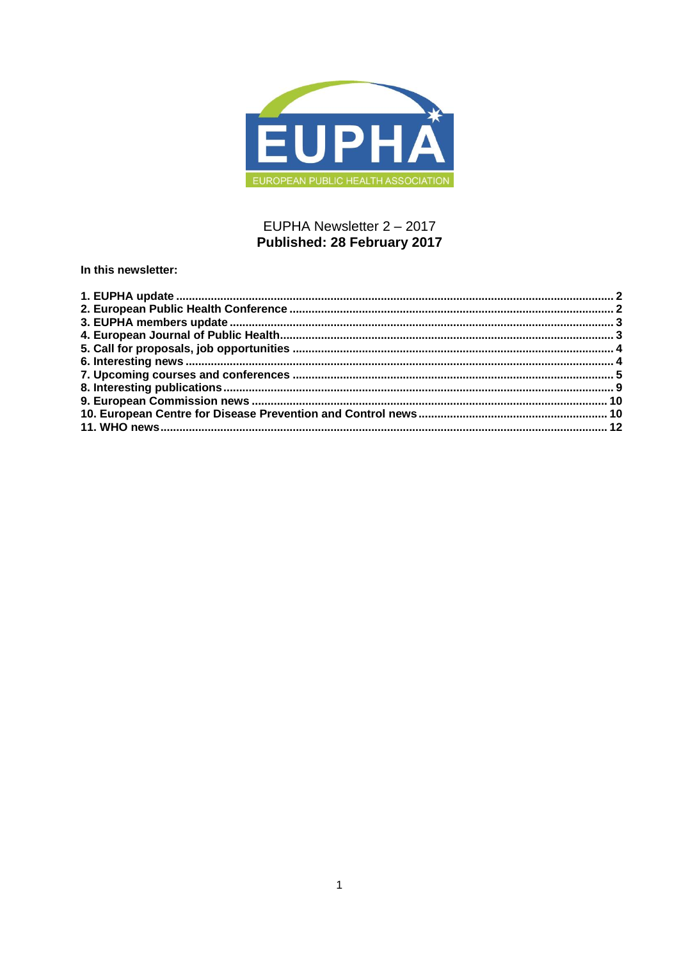

# EUPHA Newsletter 2 - 2017 Published: 28 February 2017

In this newsletter: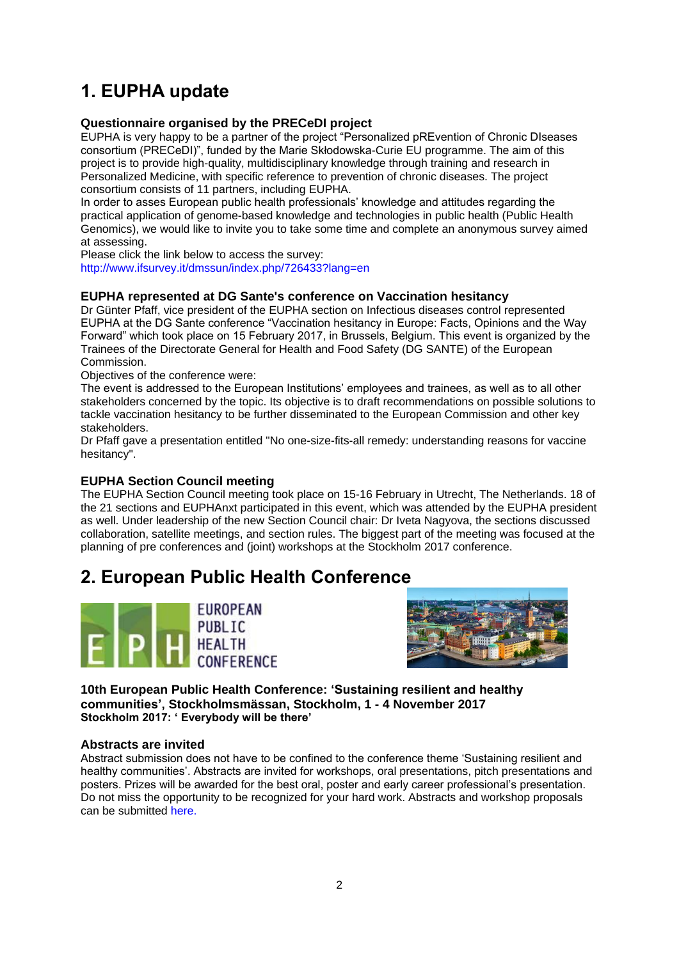# <span id="page-1-0"></span>**1. EUPHA update**

# **Questionnaire organised by the PRECeDI project**

EUPHA is very happy to be a partner of the project "Personalized pREvention of Chronic DIseases consortium (PRECeDI)", funded by the Marie Skłodowska-Curie EU programme. The aim of this project is to provide high-quality, multidisciplinary knowledge through training and research in Personalized Medicine, with specific reference to prevention of chronic diseases. The project consortium consists of 11 partners, including EUPHA.

In order to asses European public health professionals' knowledge and attitudes regarding the practical application of genome-based knowledge and technologies in public health (Public Health Genomics), we would like to invite you to take some time and complete an anonymous survey aimed at assessing.

Please click the link below to access the survey:

<http://www.ifsurvey.it/dmssun/index.php/726433?lang=en>

# **EUPHA represented at DG Sante's conference on Vaccination hesitancy**

Dr Günter Pfaff, vice president of the EUPHA section on Infectious diseases control represented EUPHA at the DG Sante conference "Vaccination hesitancy in Europe: Facts, Opinions and the Way Forward" which took place on 15 February 2017, in Brussels, Belgium. This event is organized by the Trainees of the Directorate General for Health and Food Safety (DG SANTE) of the European Commission.

Objectives of the conference were:

The event is addressed to the European Institutions' employees and trainees, as well as to all other stakeholders concerned by the topic. Its objective is to draft recommendations on possible solutions to tackle vaccination hesitancy to be further disseminated to the European Commission and other key stakeholders.

Dr Pfaff gave a presentation entitled "No one-size-fits-all remedy: understanding reasons for vaccine hesitancy".

# **EUPHA Section Council meeting**

The EUPHA Section Council meeting took place on 15-16 February in Utrecht, The Netherlands. 18 of the 21 sections and EUPHAnxt participated in this event, which was attended by the EUPHA president as well. Under leadership of the new Section Council chair: Dr Iveta Nagyova, the sections discussed collaboration, satellite meetings, and section rules. The biggest part of the meeting was focused at the planning of pre conferences and (joint) workshops at the Stockholm 2017 conference.

# <span id="page-1-1"></span>**2. European Public Health Conference**





**10th European Public Health Conference: 'Sustaining resilient and healthy communities', Stockholmsmässan, Stockholm, 1 - 4 November 2017 Stockholm 2017: ' Everybody will be there'** 

# **Abstracts are invited**

Abstract submission does not have to be confined to the conference theme 'Sustaining resilient and healthy communities'. Abstracts are invited for workshops, oral presentations, pitch presentations and posters. Prizes will be awarded for the best oral, poster and early career professional's presentation. Do not miss the opportunity to be recognized for your hard work. Abstracts and workshop proposals can be submitted [here.](https://ephconference.eu/)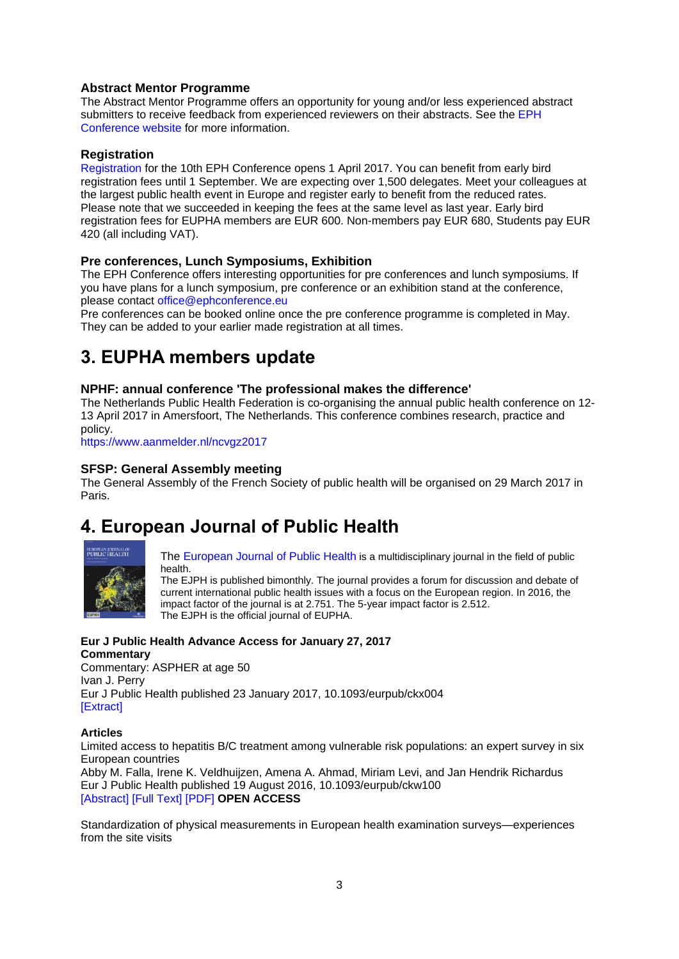# **Abstract Mentor Programme**

The Abstract Mentor Programme offers an opportunity for young and/or less experienced abstract submitters to receive feedback from experienced reviewers on their abstracts. See the EPH [Conference website](https://ephconference.eu/) for more information.

# **Registration**

[Registration](https://ephconference.eu/registration-fees-and-information-20) for the 10th EPH Conference opens 1 April 2017. You can benefit from early bird registration fees until 1 September. We are expecting over 1,500 delegates. Meet your colleagues at the largest public health event in Europe and register early to benefit from the reduced rates. Please note that we succeeded in keeping the fees at the same level as last year. Early bird registration fees for EUPHA members are EUR 600. Non-members pay EUR 680, Students pay EUR 420 (all including VAT).

# **Pre conferences, Lunch Symposiums, Exhibition**

The EPH Conference offers interesting opportunities for pre conferences and lunch symposiums. If you have plans for a lunch symposium, pre conference or an exhibition stand at the conference, please contact [office@ephconference.eu](mailto:office@ephconference.eu)

Pre conferences can be booked online once the pre conference programme is completed in May. They can be added to your earlier made registration at all times.

# <span id="page-2-0"></span>**3. EUPHA members update**

## **NPHF: annual conference 'The professional makes the difference'**

The Netherlands Public Health Federation is co-organising the annual public health conference on 12- 13 April 2017 in Amersfoort, The Netherlands. This conference combines research, practice and policy.

<https://www.aanmelder.nl/ncvgz2017>

## **SFSP: General Assembly meeting**

The General Assembly of the French Society of public health will be organised on 29 March 2017 in Paris.

# <span id="page-2-1"></span>**4. European Journal of Public Health**



[The European Journal of Public Health](http://eurpub.oxfordjournals.org/) is a multidisciplinary journal in the field of public health.

The EJPH is published bimonthly. The journal provides a forum for discussion and debate of current international public health issues with a focus on the European region. In 2016, the impact factor of the journal is at 2.751. The 5-year impact factor is 2.512. The EJPH is the official journal of EUPHA.

# **Eur J Public Health Advance Access for January 27, 2017**

**Commentary** Commentary: ASPHER at age 50 Ivan J. Perry Eur J Public Health published 23 January 2017, 10.1093/eurpub/ckx004 [\[Extract\]](http://eurpub.oxfordjournals.org/content/early/2017/01/23/eurpub.ckx004.extract?papetoc)

#### **Articles**

Limited access to hepatitis B/C treatment among vulnerable risk populations: an expert survey in six European countries Abby M. Falla, Irene K. Veldhuijzen, Amena A. Ahmad, Miriam Levi, and Jan Hendrik Richardus

Eur J Public Health published 19 August 2016, 10.1093/eurpub/ckw100 [\[Abstract\]](http://eurpub.oxfordjournals.org/content/early/2017/01/26/eurpub.ckw100.abstract?papetoc) [\[Full Text\]](http://eurpub.oxfordjournals.org/content/early/2017/01/26/eurpub.ckw100.full?papetoc) [\[PDF\]](http://eurpub.oxfordjournals.org/content/early/2017/01/26/eurpub.ckw100.full.pdf?papetoc) **OPEN ACCESS**

Standardization of physical measurements in European health examination surveys—experiences from the site visits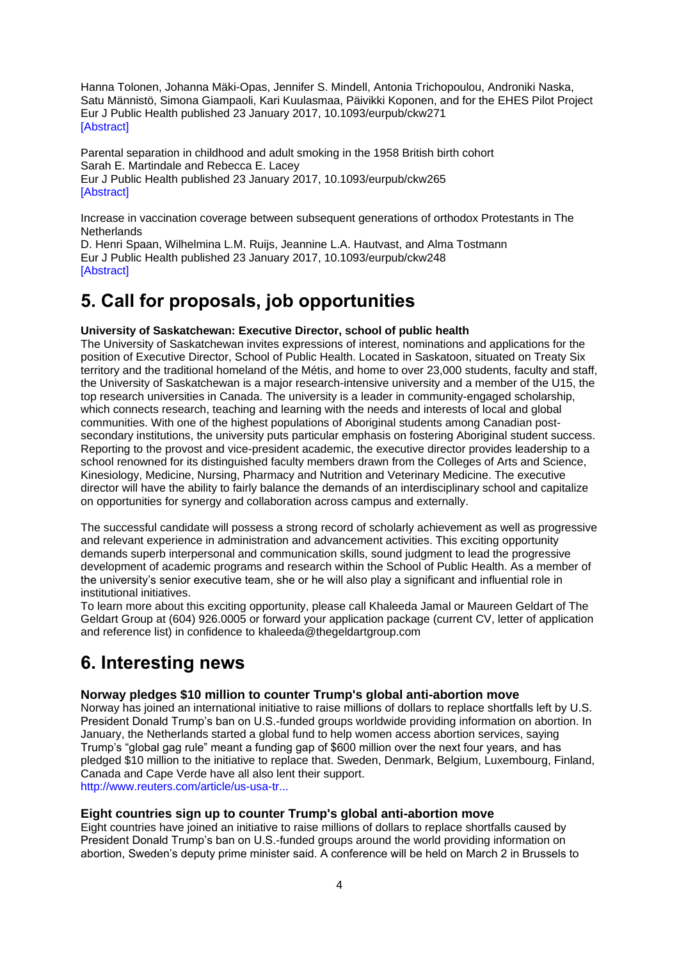Hanna Tolonen, Johanna Mäki-Opas, Jennifer S. Mindell, Antonia Trichopoulou, Androniki Naska, Satu Männistö, Simona Giampaoli, Kari Kuulasmaa, Päivikki Koponen, and for the EHES Pilot Project Eur J Public Health published 23 January 2017, 10.1093/eurpub/ckw271 [\[Abstract\]](http://eurpub.oxfordjournals.org/content/early/2017/01/23/eurpub.ckw271.abstract?papetoc)

Parental separation in childhood and adult smoking in the 1958 British birth cohort Sarah E. Martindale and Rebecca E. Lacey Eur J Public Health published 23 January 2017, 10.1093/eurpub/ckw265 **[\[Abstract\]](http://eurpub.oxfordjournals.org/content/early/2017/01/23/eurpub.ckw265.abstract?papetoc)** 

Increase in vaccination coverage between subsequent generations of orthodox Protestants in The **Netherlands** 

D. Henri Spaan, Wilhelmina L.M. Ruijs, Jeannine L.A. Hautvast, and Alma Tostmann Eur J Public Health published 23 January 2017, 10.1093/eurpub/ckw248 [\[Abstract\]](http://eurpub.oxfordjournals.org/content/early/2017/01/23/eurpub.ckw248.abstract?papetoc)

# <span id="page-3-0"></span>**5. Call for proposals, job opportunities**

# **University of Saskatchewan: Executive Director, school of public health**

The University of Saskatchewan invites expressions of interest, nominations and applications for the position of Executive Director, School of Public Health. Located in Saskatoon, situated on Treaty Six territory and the traditional homeland of the Métis, and home to over 23,000 students, faculty and staff, the University of Saskatchewan is a major research-intensive university and a member of the U15, the top research universities in Canada. The university is a leader in community-engaged scholarship, which connects research, teaching and learning with the needs and interests of local and global communities. With one of the highest populations of Aboriginal students among Canadian postsecondary institutions, the university puts particular emphasis on fostering Aboriginal student success. Reporting to the provost and vice-president academic, the executive director provides leadership to a school renowned for its distinguished faculty members drawn from the Colleges of Arts and Science, Kinesiology, Medicine, Nursing, Pharmacy and Nutrition and Veterinary Medicine. The executive director will have the ability to fairly balance the demands of an interdisciplinary school and capitalize on opportunities for synergy and collaboration across campus and externally.

The successful candidate will possess a strong record of scholarly achievement as well as progressive and relevant experience in administration and advancement activities. This exciting opportunity demands superb interpersonal and communication skills, sound judgment to lead the progressive development of academic programs and research within the School of Public Health. As a member of the university's senior executive team, she or he will also play a significant and influential role in institutional initiatives.

To learn more about this exciting opportunity, please call Khaleeda Jamal or Maureen Geldart of The Geldart Group at (604) 926.0005 or forward your application package (current CV, letter of application and reference list) in confidence to khaleeda@thegeldartgroup.com

# <span id="page-3-1"></span>**6. Interesting news**

# **Norway pledges \$10 million to counter Trump's global anti-abortion move**

Norway has joined an international initiative to raise millions of dollars to replace shortfalls left by U.S. President Donald Trump's ban on U.S.-funded groups worldwide providing information on abortion. In January, the Netherlands started a global fund to help women access abortion services, saying Trump's "global gag rule" meant a funding gap of \$600 million over the next four years, and has pledged \$10 million to the initiative to replace that. Sweden, Denmark, Belgium, Luxembourg, Finland, Canada and Cape Verde have all also lent their support. [http://www.reuters.com/article/us-usa-tr...](http://www.reuters.com/article/us-usa-trump-norway-abortion-idUSKBN15Z1KL)

**Eight countries sign up to counter Trump's global anti-abortion move**

Eight countries have joined an initiative to raise millions of dollars to replace shortfalls caused by President Donald Trump's ban on U.S.-funded groups around the world providing information on abortion, Sweden's deputy prime minister said. A conference will be held on March 2 in Brussels to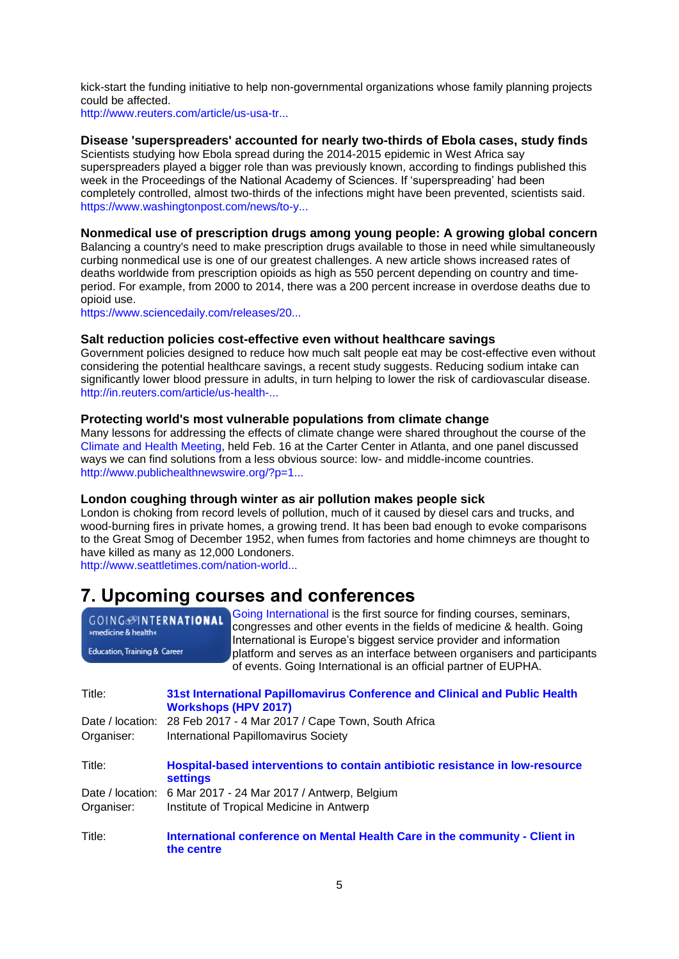kick-start the funding initiative to help non-governmental organizations whose family planning projects could be affected.

[http://www.reuters.com/article/us-usa-tr...](http://www.reuters.com/article/us-usa-trump-abortion-europe-idUSKBN15O0H7)

## **Disease 'superspreaders' accounted for nearly two-thirds of Ebola cases, study finds**

Scientists studying how Ebola spread during the 2014-2015 epidemic in West Africa say superspreaders played a bigger role than was previously known, according to findings published this week in the Proceedings of the National Academy of Sciences. If 'superspreading' had been completely controlled, almost two-thirds of the infections might have been prevented, scientists said. [https://www.washingtonpost.com/news/to-y...](https://www.washingtonpost.com/news/to-your-health/wp/2017/02/13/disease-superspreaders-accounted-for-nearly-two-thirds-of-ebola-cases-study-finds/?utm_term=.b3828fc149fa)

## **Nonmedical use of prescription drugs among young people: A growing global concern**

Balancing a country's need to make prescription drugs available to those in need while simultaneously curbing nonmedical use is one of our greatest challenges. A new article shows increased rates of deaths worldwide from prescription opioids as high as 550 percent depending on country and timeperiod. For example, from 2000 to 2014, there was a 200 percent increase in overdose deaths due to opioid use.

[https://www.sciencedaily.com/releases/20...](https://www.sciencedaily.com/releases/2017/02/170203135613.htm?utm_source=feedburner&utm_medium=email&utm_campaign=Feed%3A+sciencedaily%2Fscience_society%2Fpublic_health+%28Public+Health+News+--+Scien)

# **Salt reduction policies cost-effective even without healthcare savings**

Government policies designed to reduce how much salt people eat may be cost-effective even without considering the potential healthcare savings, a recent study suggests. Reducing sodium intake can significantly lower blood pressure in adults, in turn helping to lower the risk of cardiovascular disease. [http://in.reuters.com/article/us-health-...](http://in.reuters.com/article/us-health-salt-policies-idINKBN15P2LU?feedType=RSS&feedName=health&utm_source=Twitter&utm_medium=Social&utm_campaign=Feed%3A+reuters%2FINhealth+%28News+%2F+IN+%2F+Health%25)

## **Protecting world's most vulnerable populations from climate change**

Many lessons for addressing the effects of climate change were shared throughout the course of the [Climate and Health Meeting,](https://www.climaterealityproject.org/health) held Feb. 16 at the Carter Center in Atlanta, and one panel discussed ways we can find solutions from a less obvious source: low- and middle-income countries. [http://www.publichealthnewswire.org/?p=1...](http://www.publichealthnewswire.org/?p=17193)

#### **London coughing through winter as air pollution makes people sick**

London is choking from record levels of pollution, much of it caused by diesel cars and trucks, and wood-burning fires in private homes, a growing trend. It has been bad enough to evoke comparisons to the Great Smog of December 1952, when fumes from factories and home chimneys are thought to have killed as many as 12,000 Londoners.

[http://www.seattletimes.com/nation-world...](http://www.seattletimes.com/nation-world/london-coughing-through-winter-as-air-pollution-makes-people-sick/)

# <span id="page-4-0"></span>**7. Upcoming courses and conferences**

| <b>GOING</b> @INTERNATIONAL  | Going International is the first source for finding courses, seminars,  |
|------------------------------|-------------------------------------------------------------------------|
| »medicine & health«          | congresses and other events in the fields of medicine & health. Going   |
|                              | International is Europe's biggest service provider and information      |
| Education, Training & Career | platform and serves as an interface between organisers and participants |
|                              | of events. Going International is an official partner of EUPHA.         |

| Title:<br>Organiser: | 31st International Papillomavirus Conference and Clinical and Public Health<br><b>Workshops (HPV 2017)</b><br>Date / location: 28 Feb 2017 - 4 Mar 2017 / Cape Town, South Africa<br>International Papillomavirus Society |
|----------------------|---------------------------------------------------------------------------------------------------------------------------------------------------------------------------------------------------------------------------|
| Title:               | Hospital-based interventions to contain antibiotic resistance in low-resource<br><b>settings</b>                                                                                                                          |
| Date / location:     | 6 Mar 2017 - 24 Mar 2017 / Antwerp, Belgium                                                                                                                                                                               |
| Organiser:           | Institute of Tropical Medicine in Antwerp                                                                                                                                                                                 |
| Title:               | International conference on Mental Health Care in the community - Client in<br>the centre                                                                                                                                 |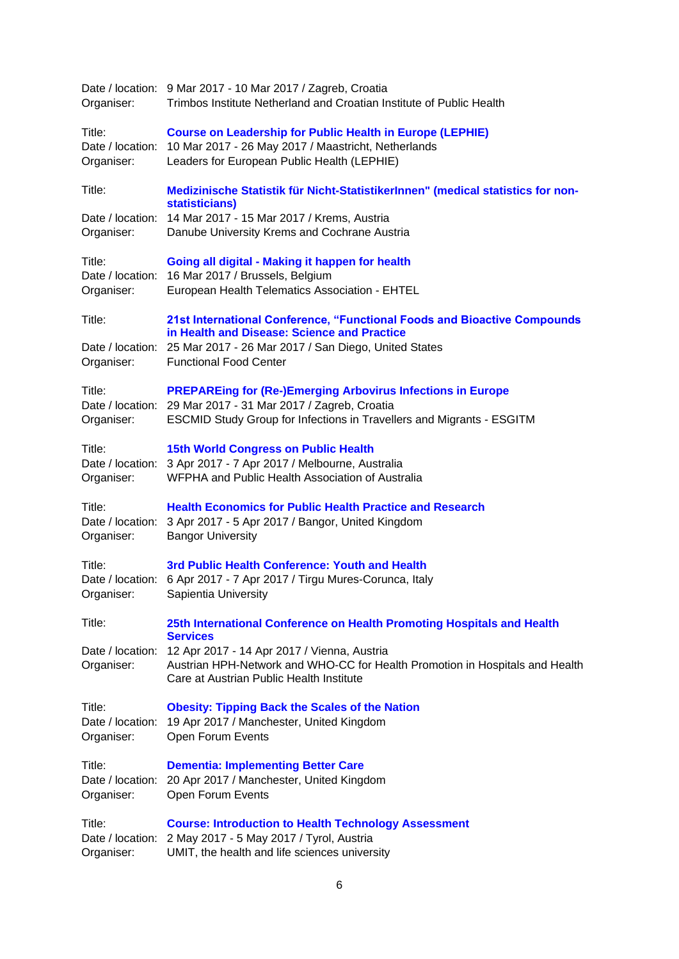| Organiser:                               | Date / location: 9 Mar 2017 - 10 Mar 2017 / Zagreb, Croatia<br>Trimbos Institute Netherland and Croatian Institute of Public Health                                     |
|------------------------------------------|-------------------------------------------------------------------------------------------------------------------------------------------------------------------------|
| Title:<br>Date / location:<br>Organiser: | <b>Course on Leadership for Public Health in Europe (LEPHIE)</b><br>10 Mar 2017 - 26 May 2017 / Maastricht, Netherlands<br>Leaders for European Public Health (LEPHIE)  |
| Title:                                   | Medizinische Statistik für Nicht-StatistikerInnen" (medical statistics for non-<br>statisticians)                                                                       |
| Date / location:<br>Organiser:           | 14 Mar 2017 - 15 Mar 2017 / Krems, Austria<br>Danube University Krems and Cochrane Austria                                                                              |
| Title:<br>Date / location:<br>Organiser: | Going all digital - Making it happen for health<br>16 Mar 2017 / Brussels, Belgium<br>European Health Telematics Association - EHTEL                                    |
| Title:                                   | 21st International Conference, "Functional Foods and Bioactive Compounds<br>in Health and Disease: Science and Practice                                                 |
| Organiser:                               | Date / location: 25 Mar 2017 - 26 Mar 2017 / San Diego, United States<br><b>Functional Food Center</b>                                                                  |
| Title:                                   | <b>PREPAREing for (Re-)Emerging Arbovirus Infections in Europe</b><br>Date / location: 29 Mar 2017 - 31 Mar 2017 / Zagreb, Croatia                                      |
| Organiser:                               | <b>ESCMID Study Group for Infections in Travellers and Migrants - ESGITM</b>                                                                                            |
| Title:<br>Organiser:                     | <b>15th World Congress on Public Health</b><br>Date / location: 3 Apr 2017 - 7 Apr 2017 / Melbourne, Australia<br>WFPHA and Public Health Association of Australia      |
| Title:<br>Date / location:<br>Organiser: | <b>Health Economics for Public Health Practice and Research</b><br>3 Apr 2017 - 5 Apr 2017 / Bangor, United Kingdom<br><b>Bangor University</b>                         |
| Title:<br>Date / location:<br>Organiser: | 3rd Public Health Conference: Youth and Health<br>6 Apr 2017 - 7 Apr 2017 / Tirgu Mures-Corunca, Italy<br>Sapientia University                                          |
| Title:                                   | 25th International Conference on Health Promoting Hospitals and Health<br><b>Services</b>                                                                               |
| Date / location:<br>Organiser:           | 12 Apr 2017 - 14 Apr 2017 / Vienna, Austria<br>Austrian HPH-Network and WHO-CC for Health Promotion in Hospitals and Health<br>Care at Austrian Public Health Institute |
| Title:<br>Date / location:<br>Organiser: | <b>Obesity: Tipping Back the Scales of the Nation</b><br>19 Apr 2017 / Manchester, United Kingdom<br>Open Forum Events                                                  |
| Title:<br>Date / location:<br>Organiser: | <b>Dementia: Implementing Better Care</b><br>20 Apr 2017 / Manchester, United Kingdom<br>Open Forum Events                                                              |
| Title:<br>Date / location:<br>Organiser: | <b>Course: Introduction to Health Technology Assessment</b><br>2 May 2017 - 5 May 2017 / Tyrol, Austria<br>UMIT, the health and life sciences university                |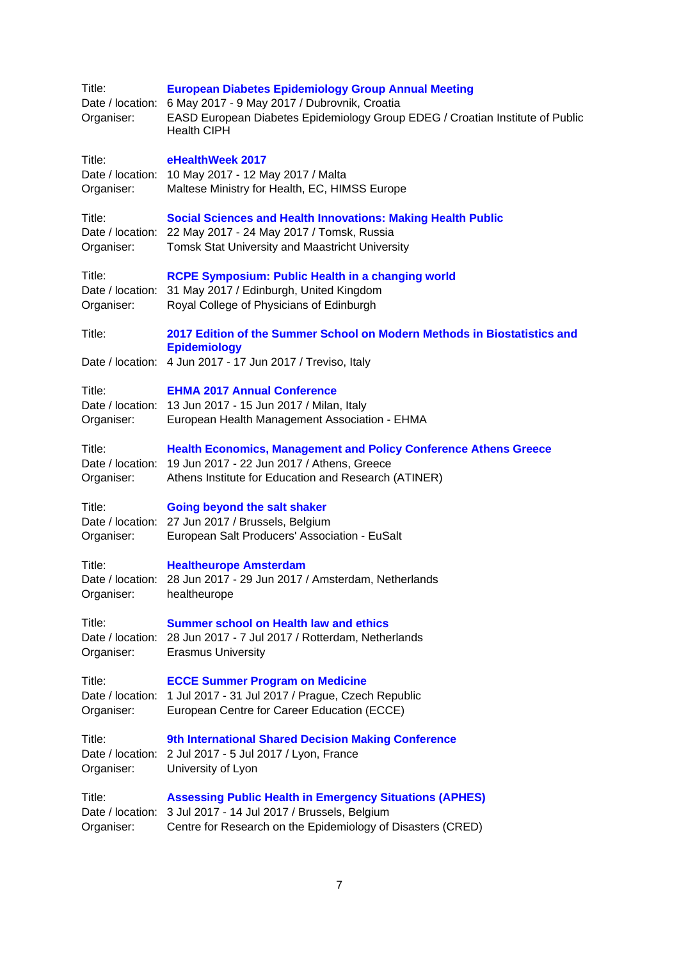| Title:<br>Organiser:                     | <b>European Diabetes Epidemiology Group Annual Meeting</b><br>Date / location: 6 May 2017 - 9 May 2017 / Dubrovnik, Croatia<br>EASD European Diabetes Epidemiology Group EDEG / Croatian Institute of Public<br><b>Health CIPH</b> |
|------------------------------------------|------------------------------------------------------------------------------------------------------------------------------------------------------------------------------------------------------------------------------------|
| Title:<br>Organiser:                     | eHealthWeek 2017<br>Date / location: 10 May 2017 - 12 May 2017 / Malta<br>Maltese Ministry for Health, EC, HIMSS Europe                                                                                                            |
| Title:<br>Organiser:                     | <b>Social Sciences and Health Innovations: Making Health Public</b><br>Date / location: 22 May 2017 - 24 May 2017 / Tomsk, Russia<br>Tomsk Stat University and Maastricht University                                               |
| Title:<br>Date / location:<br>Organiser: | <b>RCPE Symposium: Public Health in a changing world</b><br>31 May 2017 / Edinburgh, United Kingdom<br>Royal College of Physicians of Edinburgh                                                                                    |
| Title:                                   | 2017 Edition of the Summer School on Modern Methods in Biostatistics and<br><b>Epidemiology</b><br>Date / location: 4 Jun 2017 - 17 Jun 2017 / Treviso, Italy                                                                      |
|                                          |                                                                                                                                                                                                                                    |
| Title:<br>Organiser:                     | <b>EHMA 2017 Annual Conference</b><br>Date / location: 13 Jun 2017 - 15 Jun 2017 / Milan, Italy<br>European Health Management Association - EHMA                                                                                   |
| Title:<br>Organiser:                     | <b>Health Economics, Management and Policy Conference Athens Greece</b><br>Date / location: 19 Jun 2017 - 22 Jun 2017 / Athens, Greece<br>Athens Institute for Education and Research (ATINER)                                     |
| Title:<br>Organiser:                     | Going beyond the salt shaker<br>Date / location: 27 Jun 2017 / Brussels, Belgium<br>European Salt Producers' Association - EuSalt                                                                                                  |
| Title:<br>Organiser:                     | <b>Healtheurope Amsterdam</b><br>Date / location: 28 Jun 2017 - 29 Jun 2017 / Amsterdam, Netherlands<br>healtheurope                                                                                                               |
| Title:<br>Date / location:<br>Organiser: | <b>Summer school on Health law and ethics</b><br>28 Jun 2017 - 7 Jul 2017 / Rotterdam, Netherlands<br><b>Erasmus University</b>                                                                                                    |
| Title:<br>Date / location:<br>Organiser: | <b>ECCE Summer Program on Medicine</b><br>1 Jul 2017 - 31 Jul 2017 / Prague, Czech Republic<br>European Centre for Career Education (ECCE)                                                                                         |
| Title:<br>Date / location:<br>Organiser: | 9th International Shared Decision Making Conference<br>2 Jul 2017 - 5 Jul 2017 / Lyon, France<br>University of Lyon                                                                                                                |
| Title:<br>Date / location:<br>Organiser: | <b>Assessing Public Health in Emergency Situations (APHES)</b><br>3 Jul 2017 - 14 Jul 2017 / Brussels, Belgium<br>Centre for Research on the Epidemiology of Disasters (CRED)                                                      |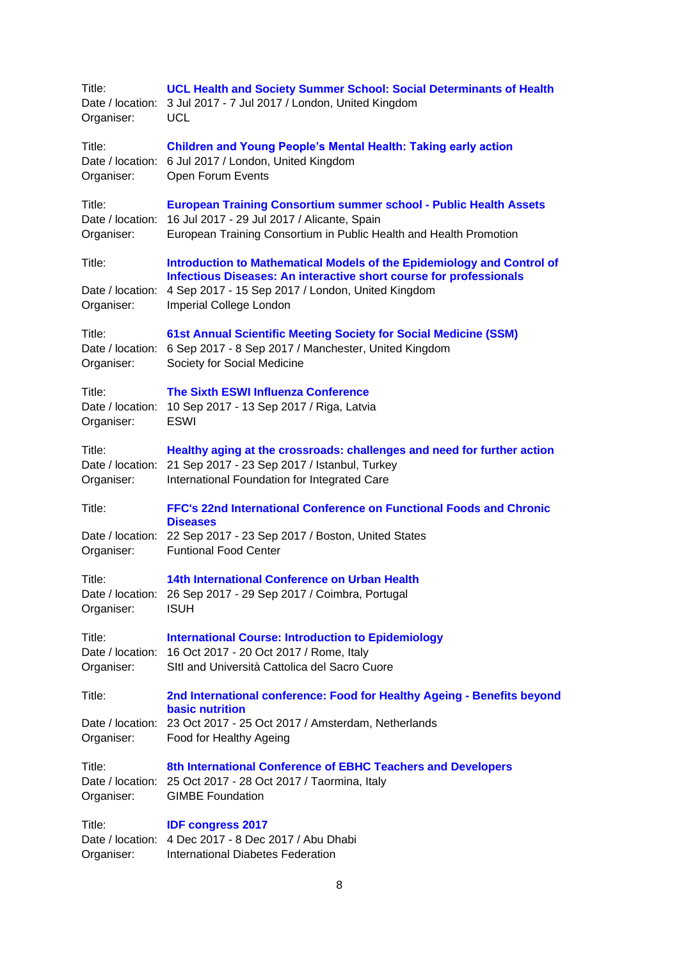| Title:<br>Date / location:<br>Organiser: | <b>UCL Health and Society Summer School: Social Determinants of Health</b><br>3 Jul 2017 - 7 Jul 2017 / London, United Kingdom<br><b>UCL</b>                                                                                 |
|------------------------------------------|------------------------------------------------------------------------------------------------------------------------------------------------------------------------------------------------------------------------------|
| Title:<br>Organiser:                     | <b>Children and Young People's Mental Health: Taking early action</b><br>Date / location: 6 Jul 2017 / London, United Kingdom<br>Open Forum Events                                                                           |
| Title:<br>Organiser:                     | <b>European Training Consortium summer school - Public Health Assets</b><br>Date / location: 16 Jul 2017 - 29 Jul 2017 / Alicante, Spain<br>European Training Consortium in Public Health and Health Promotion               |
| Title:<br>Date / location:<br>Organiser: | Introduction to Mathematical Models of the Epidemiology and Control of<br>Infectious Diseases: An interactive short course for professionals<br>4 Sep 2017 - 15 Sep 2017 / London, United Kingdom<br>Imperial College London |
| Title:<br>Organiser:                     | 61st Annual Scientific Meeting Society for Social Medicine (SSM)<br>Date / location: 6 Sep 2017 - 8 Sep 2017 / Manchester, United Kingdom<br>Society for Social Medicine                                                     |
| Title:<br>Date / location:<br>Organiser: | <b>The Sixth ESWI Influenza Conference</b><br>10 Sep 2017 - 13 Sep 2017 / Riga, Latvia<br><b>ESWI</b>                                                                                                                        |
| Title:<br>Organiser:                     | Healthy aging at the crossroads: challenges and need for further action<br>Date / location: 21 Sep 2017 - 23 Sep 2017 / Istanbul, Turkey<br>International Foundation for Integrated Care                                     |
| Title:                                   | FFC's 22nd International Conference on Functional Foods and Chronic                                                                                                                                                          |
| Date / location:<br>Organiser:           | <b>Diseases</b><br>22 Sep 2017 - 23 Sep 2017 / Boston, United States<br><b>Funtional Food Center</b>                                                                                                                         |
| Title:<br>Organiser:                     | 14th International Conference on Urban Health<br>Date / location: 26 Sep 2017 - 29 Sep 2017 / Coimbra, Portugal<br><b>ISUH</b>                                                                                               |
| Title:<br>Organiser:                     | <b>International Course: Introduction to Epidemiology</b><br>Date / location: 16 Oct 2017 - 20 Oct 2017 / Rome, Italy<br>SItl and Università Cattolica del Sacro Cuore                                                       |
| Title:                                   | 2nd International conference: Food for Healthy Ageing - Benefits beyond<br><b>basic nutrition</b>                                                                                                                            |
| Organiser:                               | Date / location: 23 Oct 2017 - 25 Oct 2017 / Amsterdam, Netherlands<br>Food for Healthy Ageing                                                                                                                               |
| Title:<br>Organiser:                     | 8th International Conference of EBHC Teachers and Developers<br>Date / location: 25 Oct 2017 - 28 Oct 2017 / Taormina, Italy<br><b>GIMBE Foundation</b>                                                                      |
| Title:<br>Organiser:                     | <b>IDF congress 2017</b><br>Date / location: 4 Dec 2017 - 8 Dec 2017 / Abu Dhabi<br><b>International Diabetes Federation</b>                                                                                                 |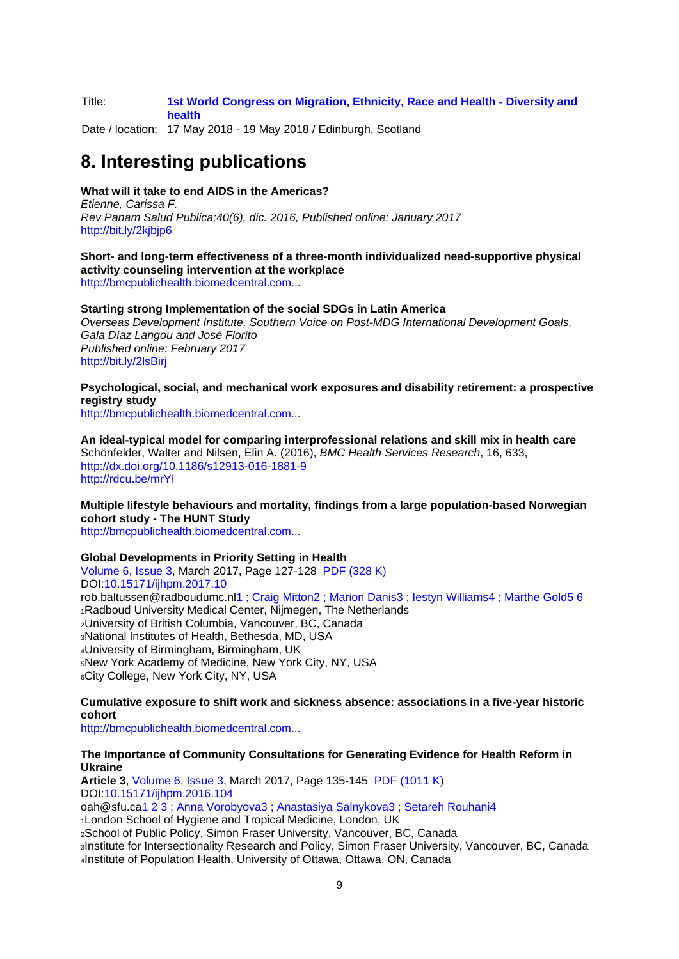#### Title: **[1st World Congress on Migration, Ethnicity, Race and Health -](http://www.merhcongress.com/) Diversity and [health](http://www.merhcongress.com/)**

Date / location: 17 May 2018 - 19 May 2018 / Edinburgh, Scotland

# <span id="page-8-0"></span>**8. Interesting publications**

### **What will it take to end AIDS in the Americas?**

*Etienne, Carissa F. Rev Panam Salud Publica;40(6), dic. 2016, Published online: January 2017* <http://bit.ly/2kjbjp6>

**Short- and long-term effectiveness of a three-month individualized need-supportive physical activity counseling intervention at the workplace** [http://bmcpublichealth.biomedcentral.com...](http://bmcpublichealth.biomedcentral.com/articles/10.1186/s12889-016-3965-1#Abs1)

## **Starting strong Implementation of the social SDGs in Latin America**

*Overseas Development Institute, Southern Voice on Post-MDG International Development Goals, Gala Díaz Langou and José Florito Published online: February 2017* <http://bit.ly/2lsBirj>

## **Psychological, social, and mechanical work exposures and disability retirement: a prospective registry study**

[http://bmcpublichealth.biomedcentral.com...](http://bmcpublichealth.biomedcentral.com/articles/10.1186/s12889-016-3921-0#Abs1)

**An ideal-typical model for comparing interprofessional relations and skill mix in health care** Schönfelder, Walter and Nilsen, Elin A. (2016), *BMC Health Services Research*, 16, 633, <http://dx.doi.org/10.1186/s12913-016-1881-9> <http://rdcu.be/mrYI>

**Multiple lifestyle behaviours and mortality, findings from a large population-based Norwegian cohort study - The HUNT Study**

[http://bmcpublichealth.biomedcentral.com...](http://bmcpublichealth.biomedcentral.com/articles/10.1186/s12889-016-3993-x#Abs1)

#### **Global Developments in Priority Setting in Health**

[Volume 6, Issue 3,](http://ijhpm.com/issue_642_645_Volume+6%2C+Issue+3%2C+March+2017.html) March 2017, Page 127-128 [PDF \(328 K\)](http://ijhpm.com/article_3316_8ed196cdfc322be73c81139cb7d529e3.pdf) DOI[:10.15171/ijhpm.2017.10](http://dx.doi.org/10.15171/ijhpm.2017.10) rob.baltussen@radboudumc.n[l1](http://ijhpm.com/article_3316.html#au1) [;](http://ijhpm.com/article_3316.html#au1) [Craig Mitton2](http://ijhpm.com/?_action=articleandau=16182and_au=Craig++Mitton) [; Marion Danis](http://ijhpm.com/?_action=articleandau=23229and_au=Rob++Baltussen)[3](http://ijhpm.com/article_3316.html#au3) [;](http://ijhpm.com/article_3316.html#au3) [Iestyn Williams4](http://ijhpm.com/?_action=articleandau=14623and_au=Iestyn++Williams) [; Marthe Gold](http://ijhpm.com/?_action=articleandau=23229and_au=Rob++Baltussen)[5](http://ijhpm.com/article_3316.html#au5) [6](http://ijhpm.com/article_3316.html#au5)  Radboud University Medical Center, Nijmegen, The Netherlands University of British Columbia, Vancouver, BC, Canada National Institutes of Health, Bethesda, MD, USA University of Birmingham, Birmingham, UK New York Academy of Medicine, New York City, NY, USA City College, New York City, NY, USA

## **Cumulative exposure to shift work and sickness absence: associations in a five-year historic cohort**

[http://bmcpublichealth.biomedcentral.com...](http://bmcpublichealth.biomedcentral.com/articles/10.1186/s12889-016-3906-z#Abs1)

#### **The Importance of Community Consultations for Generating Evidence for Health Reform in Ukraine**

**Article 3**, [Volume 6, Issue 3,](http://ijhpm.com/issue_642_645_Volume+6%2C+Issue+3%2C+March+2017.html) March 2017, Page 135-145 [PDF \(1011 K\)](http://ijhpm.com/article_3255_3ae725d21786bfdba95428e300310165.pdf) DOI[:10.15171/ijhpm.2016.104](http://dx.doi.org/10.15171/ijhpm.2016.104) oah@sfu.c[a1](http://ijhpm.com/article_3255.html#au1) [2 3 ;](http://ijhpm.com/article_3255.html#au1) [Anna Vorobyova3](http://ijhpm.com/?_action=articleandau=20460and_au=Anna++Vorobyova) [; Anastasiya Salnykova](http://ijhpm.com/?_action=articleandau=20311and_au=Olena++Hankivsky)[3](http://ijhpm.com/article_3255.html#au3) [;](http://ijhpm.com/article_3255.html#au3) [Setareh Rouhani4](http://ijhpm.com/?_action=articleandau=20462and_au=Setareh++Rouhani) <sup>1</sup>London School of Hygiene and Tropical Medicine, London, UK <sup>2</sup>School of Public Policy, Simon Fraser University, Vancouver, BC, Canada <sup>3</sup>Institute for Intersectionality Research and Policy, Simon Fraser University, Vancouver, BC, Canada 4Institute of Population Health, University of Ottawa, Ottawa, ON, Canada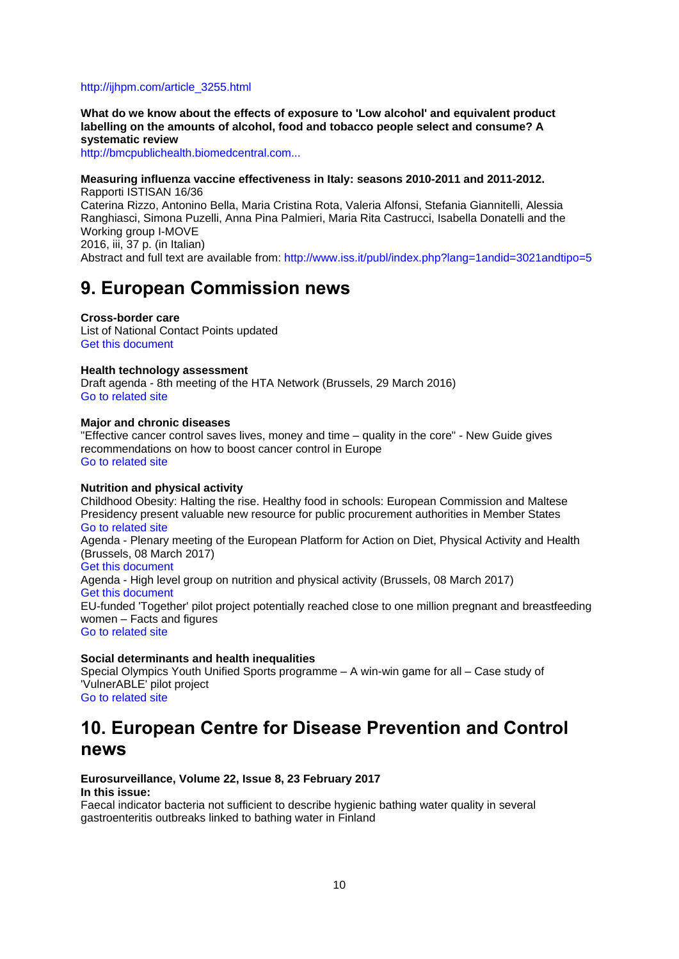#### [http://ijhpm.com/article\\_3255.html](http://ijhpm.com/article_3255.html)

**What do we know about the effects of exposure to 'Low alcohol' and equivalent product labelling on the amounts of alcohol, food and tobacco people select and consume? A systematic review**

[http://bmcpublichealth.biomedcentral.com...](http://bmcpublichealth.biomedcentral.com/articles/10.1186/s12889-016-3956-2#Abs1)

**Measuring influenza vaccine effectiveness in Italy: seasons 2010-2011 and 2011-2012.** Rapporti ISTISAN 16/36 Caterina Rizzo, Antonino Bella, Maria Cristina Rota, Valeria Alfonsi, Stefania Giannitelli, Alessia Ranghiasci, Simona Puzelli, Anna Pina Palmieri, Maria Rita Castrucci, Isabella Donatelli and the Working group I-MOVE 2016, iii, 37 p. (in Italian) Abstract and full text are available from:<http://www.iss.it/publ/index.php?lang=1andid=3021andtipo=5>

# <span id="page-9-0"></span>**9. European Commission news**

**Cross-border care**  List of National Contact Points updated [Get this document](https://ec.europa.eu/health/sites/health/files/cross_border_care/docs/cbhc_ncp_en.pdf)

#### **Health technology assessment**

Draft agenda - 8th meeting of the HTA Network (Brussels, 29 March 2016) [Go to related site](https://ec.europa.eu/health/technology_assessment/events/ev_20170329_en)

#### **Major and chronic diseases**

"Effective cancer control saves lives, money and time – quality in the core" - New Guide gives recommendations on how to boost cancer control in Europe [Go to related site](http://www.cancercontrol.eu/news/134/26/Effective-cancer-control-saves-lives-money-and-time-quality-in-the-core/d,news)

#### **Nutrition and physical activity**

Childhood Obesity: Halting the rise. Healthy food in schools: European Commission and Maltese Presidency present valuable new resource for public procurement authorities in Member States [Go to related site](http://ec.europa.eu/health/nutrition_physical_activity/events/ev_20161123_en) Agenda - Plenary meeting of the European Platform for Action on Diet, Physical Activity and Health (Brussels, 08 March 2017) [Get this document](https://ec.europa.eu/health/sites/health/files/nutrition_physical_activity/docs/ev_20170309_ag_en.pdf) Agenda - High level group on nutrition and physical activity (Brussels, 08 March 2017) [Get this document](https://ec.europa.eu/health/sites/health/files/ph_determinants/life_style/nutrition/platform/docs/ev_20170308_ag_en.pdf) EU-funded 'Together' pilot project potentially reached close to one million pregnant and breastfeeding women – Facts and figures [Go to related site](http://ec.europa.eu/health/nutrition_physical_activity/projects/ep_funded_projects_en#fragment2)

#### **Social determinants and health inequalities**

Special Olympics Youth Unified Sports programme – A win-win game for all – Case study of 'VulnerABLE' pilot project

# [Go to related site](http://ec.europa.eu/health/social_determinants/projects/ep_funded_projects_en)

# <span id="page-9-1"></span>**10. European Centre for Disease Prevention and Control news**

#### **Eurosurveillance, Volume 22, Issue 8, 23 February 2017 In this issue:**

Faecal indicator bacteria not sufficient to describe hygienic bathing water quality in several gastroenteritis outbreaks linked to bathing water in Finland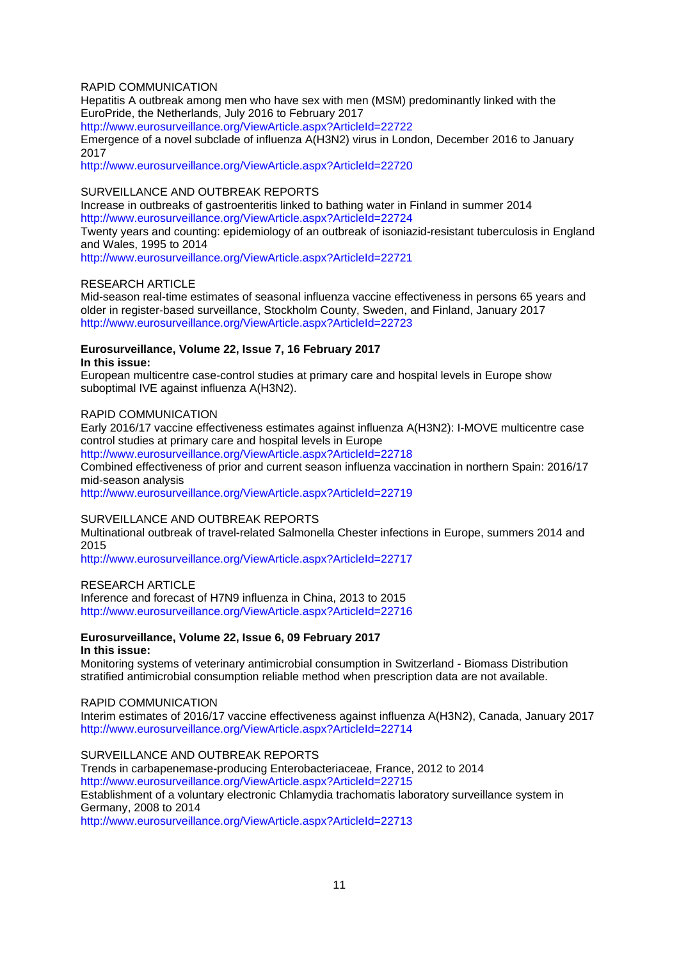## RAPID COMMUNICATION

Hepatitis A outbreak among men who have sex with men (MSM) predominantly linked with the EuroPride, the Netherlands, July 2016 to February 2017

<http://www.eurosurveillance.org/ViewArticle.aspx?ArticleId=22722>

Emergence of a novel subclade of influenza A(H3N2) virus in London, December 2016 to January 2017

<http://www.eurosurveillance.org/ViewArticle.aspx?ArticleId=22720>

#### SURVEILLANCE AND OUTBREAK REPORTS

Increase in outbreaks of gastroenteritis linked to bathing water in Finland in summer 2014 <http://www.eurosurveillance.org/ViewArticle.aspx?ArticleId=22724>

Twenty years and counting: epidemiology of an outbreak of isoniazid-resistant tuberculosis in England and Wales, 1995 to 2014

<http://www.eurosurveillance.org/ViewArticle.aspx?ArticleId=22721>

#### RESEARCH ARTICLE

Mid-season real-time estimates of seasonal influenza vaccine effectiveness in persons 65 years and older in register-based surveillance, Stockholm County, Sweden, and Finland, January 2017 <http://www.eurosurveillance.org/ViewArticle.aspx?ArticleId=22723>

### **Eurosurveillance, Volume 22, Issue 7, 16 February 2017 In this issue:**

European multicentre case-control studies at primary care and hospital levels in Europe show suboptimal IVE against influenza A(H3N2).

#### RAPID COMMUNICATION

Early 2016/17 vaccine effectiveness estimates against influenza A(H3N2): I-MOVE multicentre case control studies at primary care and hospital levels in Europe

<http://www.eurosurveillance.org/ViewArticle.aspx?ArticleId=22718>

Combined effectiveness of prior and current season influenza vaccination in northern Spain: 2016/17 mid-season analysis

<http://www.eurosurveillance.org/ViewArticle.aspx?ArticleId=22719>

#### SURVEILLANCE AND OUTBREAK REPORTS

Multinational outbreak of travel-related Salmonella Chester infections in Europe, summers 2014 and 2015

<http://www.eurosurveillance.org/ViewArticle.aspx?ArticleId=22717>

#### RESEARCH ARTICLE

Inference and forecast of H7N9 influenza in China, 2013 to 2015 <http://www.eurosurveillance.org/ViewArticle.aspx?ArticleId=22716>

#### **Eurosurveillance, Volume 22, Issue 6, 09 February 2017 In this issue:**

Monitoring systems of veterinary antimicrobial consumption in Switzerland - Biomass Distribution stratified antimicrobial consumption reliable method when prescription data are not available.

#### RAPID COMMUNICATION

Interim estimates of 2016/17 vaccine effectiveness against influenza A(H3N2), Canada, January 2017 <http://www.eurosurveillance.org/ViewArticle.aspx?ArticleId=22714>

SURVEILLANCE AND OUTBREAK REPORTS

Trends in carbapenemase-producing Enterobacteriaceae, France, 2012 to 2014 <http://www.eurosurveillance.org/ViewArticle.aspx?ArticleId=22715> Establishment of a voluntary electronic Chlamydia trachomatis laboratory surveillance system in Germany, 2008 to 2014 <http://www.eurosurveillance.org/ViewArticle.aspx?ArticleId=22713>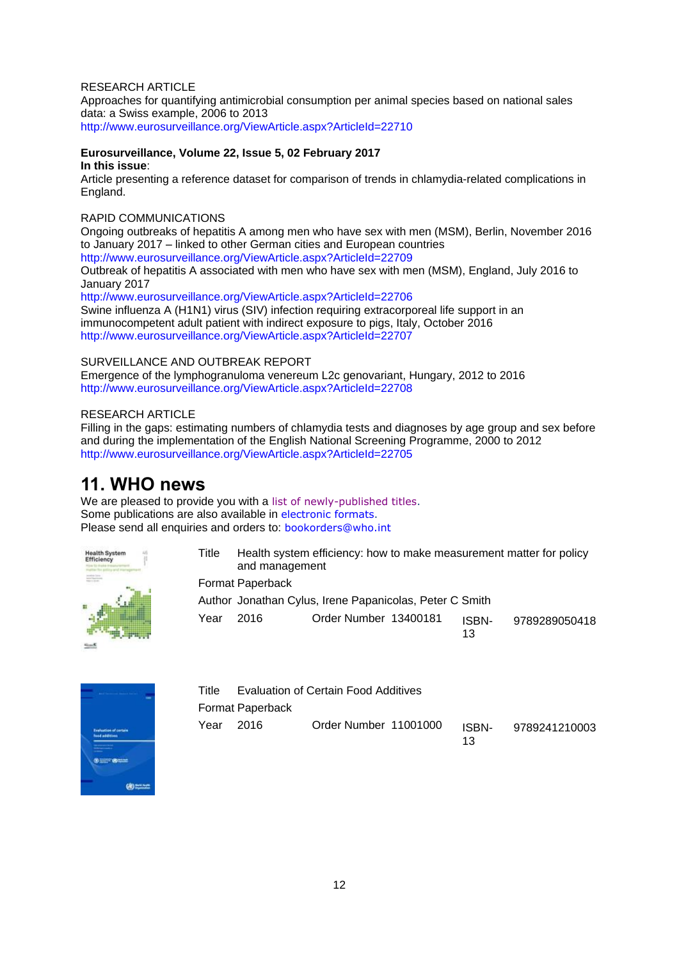## RESEARCH ARTICLE

Approaches for quantifying antimicrobial consumption per animal species based on national sales data: a Swiss example, 2006 to 2013 <http://www.eurosurveillance.org/ViewArticle.aspx?ArticleId=22710>

**Eurosurveillance, Volume 22, Issue 5, 02 February 2017 In this issue**:

Article presenting a reference dataset for comparison of trends in chlamydia-related complications in England.

## RAPID COMMUNICATIONS

Ongoing outbreaks of hepatitis A among men who have sex with men (MSM), Berlin, November 2016 to January 2017 – linked to other German cities and European countries <http://www.eurosurveillance.org/ViewArticle.aspx?ArticleId=22709>

Outbreak of hepatitis A associated with men who have sex with men (MSM), England, July 2016 to January 2017

<http://www.eurosurveillance.org/ViewArticle.aspx?ArticleId=22706> Swine influenza A (H1N1) virus (SIV) infection requiring extracorporeal life support in an immunocompetent adult patient with indirect exposure to pigs, Italy, October 2016 <http://www.eurosurveillance.org/ViewArticle.aspx?ArticleId=22707>

## SURVEILLANCE AND OUTBREAK REPORT

Emergence of the lymphogranuloma venereum L2c genovariant, Hungary, 2012 to 2016 <http://www.eurosurveillance.org/ViewArticle.aspx?ArticleId=22708>

## RESEARCH ARTICLE

Filling in the gaps: estimating numbers of chlamydia tests and diagnoses by age group and sex before and during the implementation of the English National Screening Programme, 2000 to 2012 <http://www.eurosurveillance.org/ViewArticle.aspx?ArticleId=22705>

# <span id="page-11-0"></span>**11. WHO news**

We are pleased to provide you with a [list of newly-published titles.](http://www.who.int/bookorders/anglais/newpublications1.jsp?sesslan=1) Some publications are also available in [electronic formats.](http://apps.who.int/bookorders/anglais/ElectroProd1.jsp) Please send all enquiries and orders to: [bookorders@who.int](mailto:bookorders@who.int)



| Title | Health system efficiency: how to make measurement matter for policy |
|-------|---------------------------------------------------------------------|
|       | and management                                                      |
|       | Format Paperback                                                    |

Author Jonathan Cylus, Irene Papanicolas, Peter C Smith Year 2016 Order Number 13400181 ISBN-13 9789289050418



| Title     | Evaluation of Certain Food Additives |                       |             |               |  |
|-----------|--------------------------------------|-----------------------|-------------|---------------|--|
|           | Format Paperback                     |                       |             |               |  |
| Year 2016 |                                      | Order Number 11001000 | ISBN-<br>13 | 9789241210003 |  |